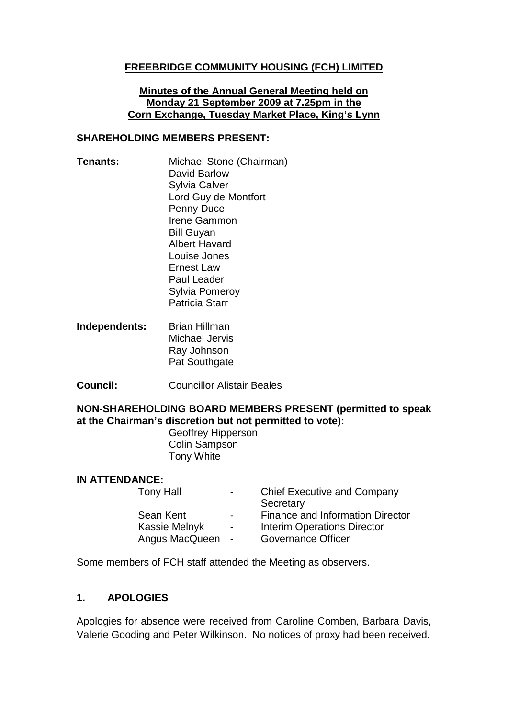## **FREEBRIDGE COMMUNITY HOUSING (FCH) LIMITED**

#### **Minutes of the Annual General Meeting held on Monday 21 September 2009 at 7.25pm in the Corn Exchange, Tuesday Market Place, King's Lynn**

#### **SHAREHOLDING MEMBERS PRESENT:**

- **Tenants:** Michael Stone (Chairman) David Barlow Sylvia Calver Lord Guy de Montfort Penny Duce Irene Gammon Bill Guyan Albert Havard Louise Jones Ernest Law Paul Leader Sylvia Pomeroy Patricia Starr
- **Independents:** Brian Hillman Michael Jervis Ray Johnson Pat Southgate
- **Council:** Councillor Alistair Beales

#### **NON-SHAREHOLDING BOARD MEMBERS PRESENT (permitted to speak at the Chairman's discretion but not permitted to vote):**

Geoffrey Hipperson Colin Sampson Tony White

#### **IN ATTENDANCE:**

| $\sim$ $\sim$            | <b>Chief Executive and Company</b>      |
|--------------------------|-----------------------------------------|
|                          | Secretary                               |
| $\blacksquare$           | <b>Finance and Information Director</b> |
| $\overline{\phantom{0}}$ | <b>Interim Operations Director</b>      |
| Angus MacQueen<br>$\sim$ | <b>Governance Officer</b>               |
|                          |                                         |

Some members of FCH staff attended the Meeting as observers.

# **1. APOLOGIES**

Apologies for absence were received from Caroline Comben, Barbara Davis, Valerie Gooding and Peter Wilkinson. No notices of proxy had been received.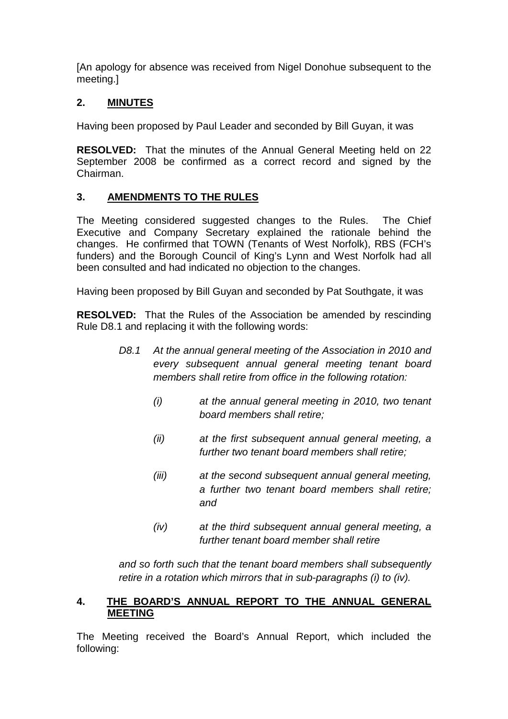[An apology for absence was received from Nigel Donohue subsequent to the meeting.]

# **2. MINUTES**

Having been proposed by Paul Leader and seconded by Bill Guyan, it was

**RESOLVED:** That the minutes of the Annual General Meeting held on 22 September 2008 be confirmed as a correct record and signed by the Chairman.

# **3. AMENDMENTS TO THE RULES**

The Meeting considered suggested changes to the Rules. The Chief Executive and Company Secretary explained the rationale behind the changes. He confirmed that TOWN (Tenants of West Norfolk), RBS (FCH's funders) and the Borough Council of King's Lynn and West Norfolk had all been consulted and had indicated no objection to the changes.

Having been proposed by Bill Guyan and seconded by Pat Southgate, it was

**RESOLVED:** That the Rules of the Association be amended by rescinding Rule D8.1 and replacing it with the following words:

- *D8.1 At the annual general meeting of the Association in 2010 and every subsequent annual general meeting tenant board members shall retire from office in the following rotation:*
	- *(i) at the annual general meeting in 2010, two tenant board members shall retire;*
	- *(ii) at the first subsequent annual general meeting, a further two tenant board members shall retire;*
	- *(iii) at the second subsequent annual general meeting, a further two tenant board members shall retire; and*
	- *(iv) at the third subsequent annual general meeting, a further tenant board member shall retire*

*and so forth such that the tenant board members shall subsequently retire in a rotation which mirrors that in sub-paragraphs (i) to (iv).*

## **4. THE BOARD'S ANNUAL REPORT TO THE ANNUAL GENERAL MEETING**

The Meeting received the Board's Annual Report, which included the following: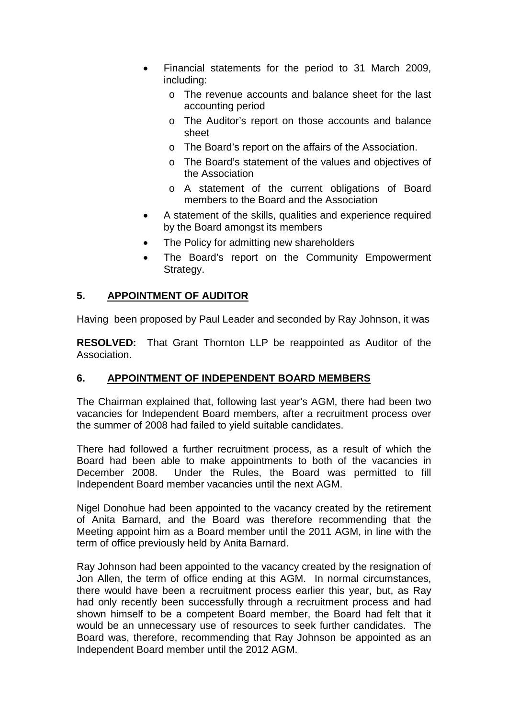- Financial statements for the period to 31 March 2009, including:
	- o The revenue accounts and balance sheet for the last accounting period
	- o The Auditor's report on those accounts and balance sheet
	- o The Board's report on the affairs of the Association.
	- o The Board's statement of the values and objectives of the Association
	- o A statement of the current obligations of Board members to the Board and the Association
- A statement of the skills, qualities and experience required by the Board amongst its members
- The Policy for admitting new shareholders
- The Board's report on the Community Empowerment Strategy.

## **5. APPOINTMENT OF AUDITOR**

Having been proposed by Paul Leader and seconded by Ray Johnson, it was

**RESOLVED:** That Grant Thornton LLP be reappointed as Auditor of the Association.

# **6. APPOINTMENT OF INDEPENDENT BOARD MEMBERS**

The Chairman explained that, following last year's AGM, there had been two vacancies for Independent Board members, after a recruitment process over the summer of 2008 had failed to yield suitable candidates.

There had followed a further recruitment process, as a result of which the Board had been able to make appointments to both of the vacancies in December 2008. Under the Rules, the Board was permitted to fill Independent Board member vacancies until the next AGM.

Nigel Donohue had been appointed to the vacancy created by the retirement of Anita Barnard, and the Board was therefore recommending that the Meeting appoint him as a Board member until the 2011 AGM, in line with the term of office previously held by Anita Barnard.

Ray Johnson had been appointed to the vacancy created by the resignation of Jon Allen, the term of office ending at this AGM. In normal circumstances, there would have been a recruitment process earlier this year, but, as Ray had only recently been successfully through a recruitment process and had shown himself to be a competent Board member, the Board had felt that it would be an unnecessary use of resources to seek further candidates. The Board was, therefore, recommending that Ray Johnson be appointed as an Independent Board member until the 2012 AGM.